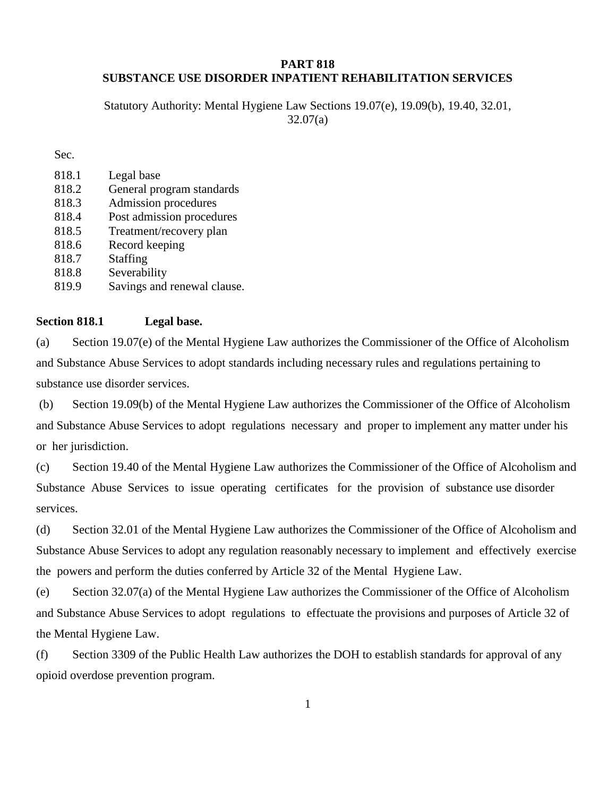## **PART 818 SUBSTANCE USE DISORDER INPATIENT REHABILITATION SERVICES**

Statutory Authority: Mental Hygiene Law Sections 19.07(e), 19.09(b), 19.40, 32.01, 32.07(a)

Sec.

| 818.1 | Legal base                  |
|-------|-----------------------------|
| 818.2 | General program standards   |
| 818.3 | Admission procedures        |
| 818.4 | Post admission procedures   |
| 818.5 | Treatment/recovery plan     |
| 818.6 | Record keeping              |
| 818.7 | Staffing                    |
| 818.8 | Severability                |
| 819.9 | Savings and renewal clause. |

#### **Section 818.1 Legal base.**

(a) Section 19.07(e) of the Mental Hygiene Law authorizes the Commissioner of the Office of Alcoholism and Substance Abuse Services to adopt standards including necessary rules and regulations pertaining to substance use disorder services.

(b) Section 19.09(b) of the Mental Hygiene Law authorizes the Commissioner of the Office of Alcoholism and Substance Abuse Services to adopt regulations necessary and proper to implement any matter under his or her jurisdiction.

(c) Section 19.40 of the Mental Hygiene Law authorizes the Commissioner of the Office of Alcoholism and Substance Abuse Services to issue operating certificates for the provision of substance use disorder services.

(d) Section 32.01 of the Mental Hygiene Law authorizes the Commissioner of the Office of Alcoholism and Substance Abuse Services to adopt any regulation reasonably necessary to implement and effectively exercise the powers and perform the duties conferred by Article 32 of the Mental Hygiene Law.

(e) Section 32.07(a) of the Mental Hygiene Law authorizes the Commissioner of the Office of Alcoholism and Substance Abuse Services to adopt regulations to effectuate the provisions and purposes of Article 32 of the Mental Hygiene Law.

(f) Section 3309 of the Public Health Law authorizes the DOH to establish standards for approval of any opioid overdose prevention program.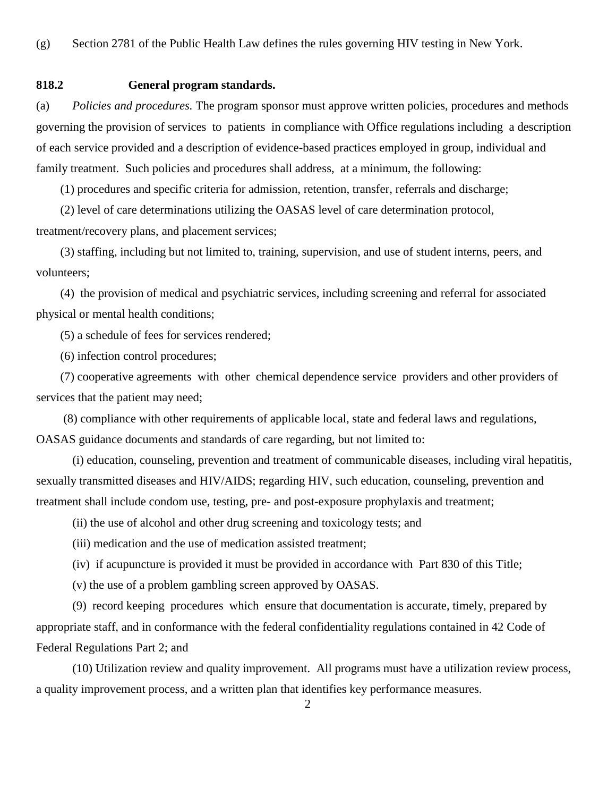## **818.2 General program standards.**

(a) *Policies and procedures.* The program sponsor must approve written policies, procedures and methods governing the provision of services to patients in compliance with Office regulations including a description of each service provided and a description of evidence-based practices employed in group, individual and family treatment. Such policies and procedures shall address, at a minimum, the following:

(1) procedures and specific criteria for admission, retention, transfer, referrals and discharge;

 (2) level of care determinations utilizing the OASAS level of care determination protocol, treatment/recovery plans, and placement services;

 (3) staffing, including but not limited to, training, supervision, and use of student interns, peers, and volunteers;

 (4) the provision of medical and psychiatric services, including screening and referral for associated physical or mental health conditions;

(5) a schedule of fees for services rendered;

(6) infection control procedures;

 (7) cooperative agreements with other chemical dependence service providers and other providers of services that the patient may need;

 (8) compliance with other requirements of applicable local, state and federal laws and regulations, OASAS guidance documents and standards of care regarding, but not limited to:

(i) education, counseling, prevention and treatment of communicable diseases, including viral hepatitis, sexually transmitted diseases and HIV/AIDS; regarding HIV, such education, counseling, prevention and treatment shall include condom use, testing, pre- and post-exposure prophylaxis and treatment;

(ii) the use of alcohol and other drug screening and toxicology tests; and

(iii) medication and the use of medication assisted treatment;

(iv) if acupuncture is provided it must be provided in accordance with Part 830 of this Title;

(v) the use of a problem gambling screen approved by OASAS.

(9) record keeping procedures which ensure that documentation is accurate, timely, prepared by appropriate staff, and in conformance with the federal confidentiality regulations contained in 42 Code of Federal Regulations Part 2; and

 (10) Utilization review and quality improvement. All programs must have a utilization review process, a quality improvement process, and a written plan that identifies key performance measures.

2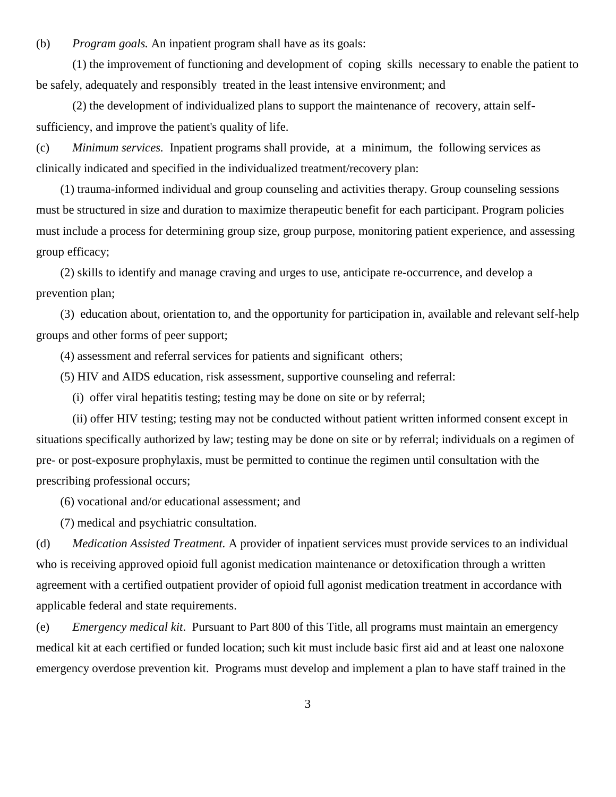(b) *Program goals.* An inpatient program shall have as its goals:

 (1) the improvement of functioning and development of coping skills necessary to enable the patient to be safely, adequately and responsibly treated in the least intensive environment; and

 (2) the development of individualized plans to support the maintenance of recovery, attain selfsufficiency, and improve the patient's quality of life.

(c) *Minimum services.* Inpatient programs shall provide, at a minimum, the following services as clinically indicated and specified in the individualized treatment/recovery plan:

 (1) trauma-informed individual and group counseling and activities therapy. Group counseling sessions must be structured in size and duration to maximize therapeutic benefit for each participant. Program policies must include a process for determining group size, group purpose, monitoring patient experience, and assessing group efficacy;

 (2) skills to identify and manage craving and urges to use, anticipate re-occurrence, and develop a prevention plan;

 (3) education about, orientation to, and the opportunity for participation in, available and relevant self-help groups and other forms of peer support;

(4) assessment and referral services for patients and significant others;

(5) HIV and AIDS education, risk assessment, supportive counseling and referral:

(i) offer viral hepatitis testing; testing may be done on site or by referral;

(ii) offer HIV testing; testing may not be conducted without patient written informed consent except in situations specifically authorized by law; testing may be done on site or by referral; individuals on a regimen of pre- or post-exposure prophylaxis, must be permitted to continue the regimen until consultation with the prescribing professional occurs;

(6) vocational and/or educational assessment; and

(7) medical and psychiatric consultation.

(d) *Medication Assisted Treatment.* A provider of inpatient services must provide services to an individual who is receiving approved opioid full agonist medication maintenance or detoxification through a written agreement with a certified outpatient provider of opioid full agonist medication treatment in accordance with applicable federal and state requirements.

(e) *Emergency medical kit*. Pursuant to Part 800 of this Title, all programs must maintain an emergency medical kit at each certified or funded location; such kit must include basic first aid and at least one naloxone emergency overdose prevention kit. Programs must develop and implement a plan to have staff trained in the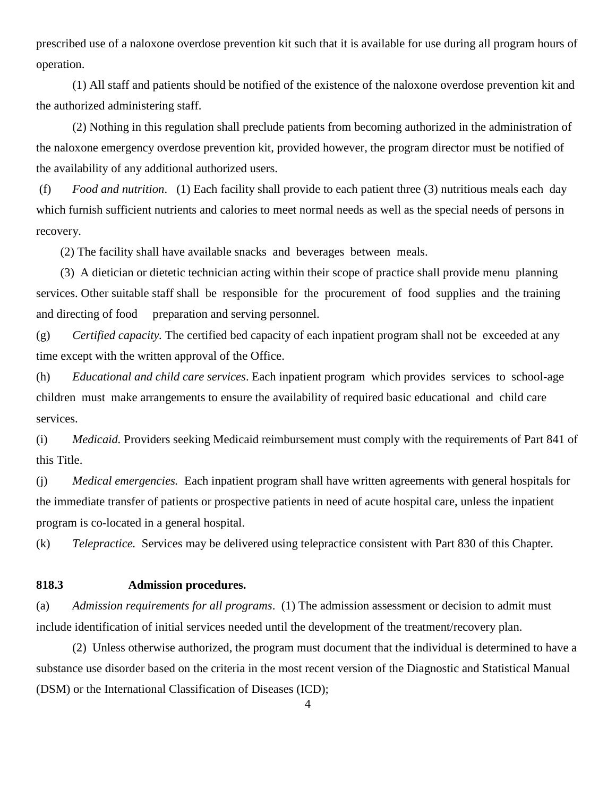prescribed use of a naloxone overdose prevention kit such that it is available for use during all program hours of operation.

(1) All staff and patients should be notified of the existence of the naloxone overdose prevention kit and the authorized administering staff.

(2) Nothing in this regulation shall preclude patients from becoming authorized in the administration of the naloxone emergency overdose prevention kit, provided however, the program director must be notified of the availability of any additional authorized users.

(f) *Food and nutrition*. (1) Each facility shall provide to each patient three (3) nutritious meals each day which furnish sufficient nutrients and calories to meet normal needs as well as the special needs of persons in recovery.

(2) The facility shall have available snacks and beverages between meals.

 (3) A dietician or dietetic technician acting within their scope of practice shall provide menu planning services. Other suitable staff shall be responsible for the procurement of food supplies and the training and directing of food preparation and serving personnel.

(g) *Certified capacity.* The certified bed capacity of each inpatient program shall not be exceeded at any time except with the written approval of the Office.

(h) *Educational and child care services*. Each inpatient program which provides services to school-age children must make arrangements to ensure the availability of required basic educational and child care services.

(i) *Medicaid.* Providers seeking Medicaid reimbursement must comply with the requirements of Part 841 of this Title.

(j) *Medical emergencies.* Each inpatient program shall have written agreements with general hospitals for the immediate transfer of patients or prospective patients in need of acute hospital care, unless the inpatient program is co-located in a general hospital.

(k) *Telepractice.* Services may be delivered using telepractice consistent with Part 830 of this Chapter.

#### **818.3 Admission procedures.**

(a) *Admission requirements for all programs*. (1) The admission assessment or decision to admit must include identification of initial services needed until the development of the treatment/recovery plan.

(2) Unless otherwise authorized, the program must document that the individual is determined to have a substance use disorder based on the criteria in the most recent version of the Diagnostic and Statistical Manual (DSM) or the International Classification of Diseases (ICD);

4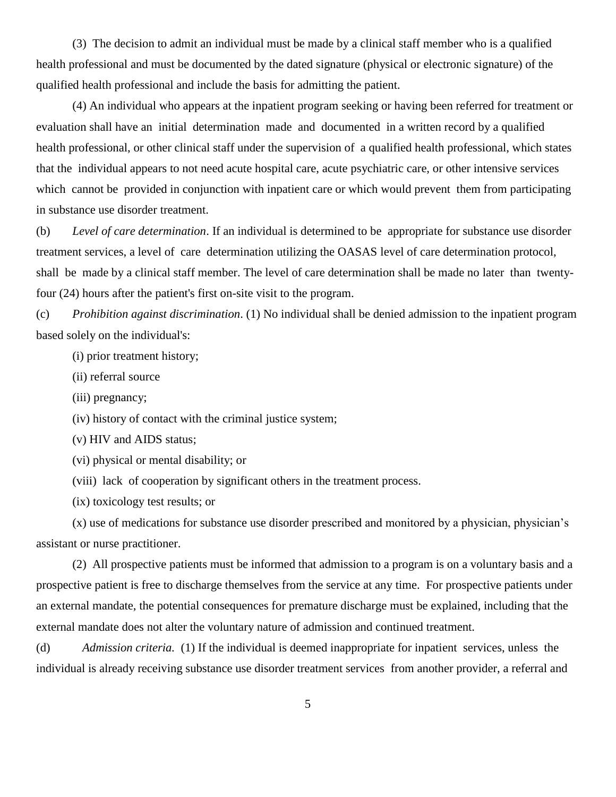(3) The decision to admit an individual must be made by a clinical staff member who is a qualified health professional and must be documented by the dated signature (physical or electronic signature) of the qualified health professional and include the basis for admitting the patient.

(4) An individual who appears at the inpatient program seeking or having been referred for treatment or evaluation shall have an initial determination made and documented in a written record by a qualified health professional, or other clinical staff under the supervision of a qualified health professional, which states that the individual appears to not need acute hospital care, acute psychiatric care, or other intensive services which cannot be provided in conjunction with inpatient care or which would prevent them from participating in substance use disorder treatment.

(b) *Level of care determination*. If an individual is determined to be appropriate for substance use disorder treatment services, a level of care determination utilizing the OASAS level of care determination protocol, shall be made by a clinical staff member. The level of care determination shall be made no later than twentyfour (24) hours after the patient's first on-site visit to the program.

(c) *Prohibition against discrimination*. (1) No individual shall be denied admission to the inpatient program based solely on the individual's:

(i) prior treatment history;

- (ii) referral source
- (iii) pregnancy;

(iv) history of contact with the criminal justice system;

(v) HIV and AIDS status;

(vi) physical or mental disability; or

(viii) lack of cooperation by significant others in the treatment process.

(ix) toxicology test results; or

(x) use of medications for substance use disorder prescribed and monitored by a physician, physician's assistant or nurse practitioner.

(2) All prospective patients must be informed that admission to a program is on a voluntary basis and a prospective patient is free to discharge themselves from the service at any time. For prospective patients under an external mandate, the potential consequences for premature discharge must be explained, including that the external mandate does not alter the voluntary nature of admission and continued treatment.

(d) *Admission criteria.* (1) If the individual is deemed inappropriate for inpatient services, unless the individual is already receiving substance use disorder treatment services from another provider, a referral and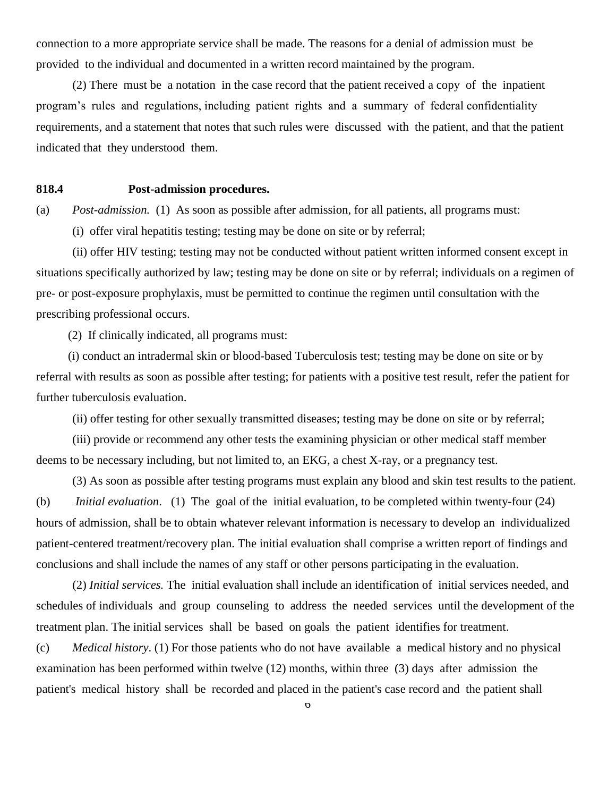connection to a more appropriate service shall be made. The reasons for a denial of admission must be provided to the individual and documented in a written record maintained by the program.

(2) There must be a notation in the case record that the patient received a copy of the inpatient program's rules and regulations, including patient rights and a summary of federal confidentiality requirements, and a statement that notes that such rules were discussed with the patient, and that the patient indicated that they understood them.

#### **818.4 Post-admission procedures.**

(a) *Post-admission.* (1) As soon as possible after admission, for all patients, all programs must:

(i) offer viral hepatitis testing; testing may be done on site or by referral;

(ii) offer HIV testing; testing may not be conducted without patient written informed consent except in situations specifically authorized by law; testing may be done on site or by referral; individuals on a regimen of pre- or post-exposure prophylaxis, must be permitted to continue the regimen until consultation with the prescribing professional occurs.

(2) If clinically indicated, all programs must:

(i) conduct an intradermal skin or blood-based Tuberculosis test; testing may be done on site or by referral with results as soon as possible after testing; for patients with a positive test result, refer the patient for further tuberculosis evaluation.

(ii) offer testing for other sexually transmitted diseases; testing may be done on site or by referral;

(iii) provide or recommend any other tests the examining physician or other medical staff member deems to be necessary including, but not limited to, an EKG, a chest X-ray, or a pregnancy test.

(3) As soon as possible after testing programs must explain any blood and skin test results to the patient. (b) *Initial evaluation*. (1) The goal of the initial evaluation, to be completed within twenty-four (24) hours of admission, shall be to obtain whatever relevant information is necessary to develop an individualized patient-centered treatment/recovery plan. The initial evaluation shall comprise a written report of findings and conclusions and shall include the names of any staff or other persons participating in the evaluation.

 (2) *Initial services.* The initial evaluation shall include an identification of initial services needed, and schedules of individuals and group counseling to address the needed services until the development of the treatment plan. The initial services shall be based on goals the patient identifies for treatment.

(c) *Medical history*. (1) For those patients who do not have available a medical history and no physical examination has been performed within twelve (12) months, within three (3) days after admission the patient's medical history shall be recorded and placed in the patient's case record and the patient shall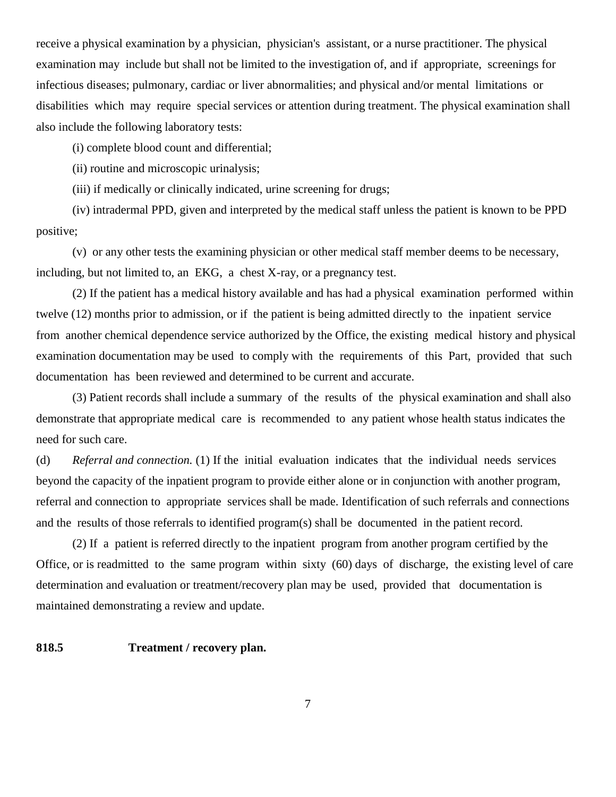receive a physical examination by a physician, physician's assistant, or a nurse practitioner. The physical examination may include but shall not be limited to the investigation of, and if appropriate, screenings for infectious diseases; pulmonary, cardiac or liver abnormalities; and physical and/or mental limitations or disabilities which may require special services or attention during treatment. The physical examination shall also include the following laboratory tests:

(i) complete blood count and differential;

(ii) routine and microscopic urinalysis;

(iii) if medically or clinically indicated, urine screening for drugs;

 (iv) intradermal PPD, given and interpreted by the medical staff unless the patient is known to be PPD positive;

 (v) or any other tests the examining physician or other medical staff member deems to be necessary, including, but not limited to, an EKG, a chest X-ray, or a pregnancy test.

 (2) If the patient has a medical history available and has had a physical examination performed within twelve (12) months prior to admission, or if the patient is being admitted directly to the inpatient service from another chemical dependence service authorized by the Office, the existing medical history and physical examination documentation may be used to comply with the requirements of this Part, provided that such documentation has been reviewed and determined to be current and accurate.

 (3) Patient records shall include a summary of the results of the physical examination and shall also demonstrate that appropriate medical care is recommended to any patient whose health status indicates the need for such care.

(d) *Referral and connection.* (1) If the initial evaluation indicates that the individual needs services beyond the capacity of the inpatient program to provide either alone or in conjunction with another program, referral and connection to appropriate services shall be made. Identification of such referrals and connections and the results of those referrals to identified program(s) shall be documented in the patient record.

(2) If a patient is referred directly to the inpatient program from another program certified by the Office, or is readmitted to the same program within sixty (60) days of discharge, the existing level of care determination and evaluation or treatment/recovery plan may be used, provided that documentation is maintained demonstrating a review and update.

## **818.5 Treatment / recovery plan.**

7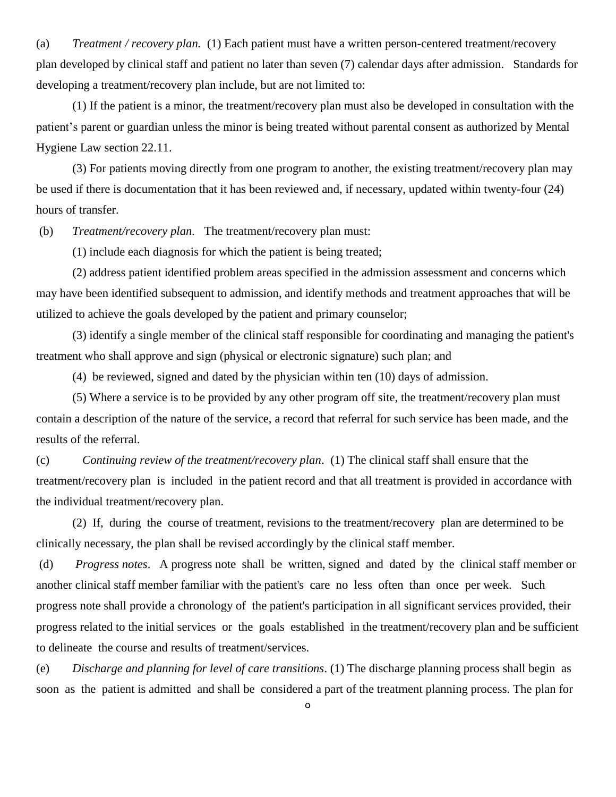(a) *Treatment / recovery plan.* (1) Each patient must have a written person-centered treatment/recovery plan developed by clinical staff and patient no later than seven (7) calendar days after admission. Standards for developing a treatment/recovery plan include, but are not limited to:

(1) If the patient is a minor, the treatment/recovery plan must also be developed in consultation with the patient's parent or guardian unless the minor is being treated without parental consent as authorized by Mental Hygiene Law section 22.11.

(3) For patients moving directly from one program to another, the existing treatment/recovery plan may be used if there is documentation that it has been reviewed and, if necessary, updated within twenty-four (24) hours of transfer.

(b) *Treatment/recovery plan.* The treatment/recovery plan must:

(1) include each diagnosis for which the patient is being treated;

(2) address patient identified problem areas specified in the admission assessment and concerns which may have been identified subsequent to admission, and identify methods and treatment approaches that will be utilized to achieve the goals developed by the patient and primary counselor;

(3) identify a single member of the clinical staff responsible for coordinating and managing the patient's treatment who shall approve and sign (physical or electronic signature) such plan; and

(4) be reviewed, signed and dated by the physician within ten (10) days of admission.

(5) Where a service is to be provided by any other program off site, the treatment/recovery plan must contain a description of the nature of the service, a record that referral for such service has been made, and the results of the referral.

(c) *Continuing review of the treatment/recovery plan*. (1) The clinical staff shall ensure that the treatment/recovery plan is included in the patient record and that all treatment is provided in accordance with the individual treatment/recovery plan.

(2) If, during the course of treatment, revisions to the treatment/recovery plan are determined to be clinically necessary, the plan shall be revised accordingly by the clinical staff member.

(d) *Progress notes*. A progress note shall be written, signed and dated by the clinical staff member or another clinical staff member familiar with the patient's care no less often than once per week. Such progress note shall provide a chronology of the patient's participation in all significant services provided, their progress related to the initial services or the goals established in the treatment/recovery plan and be sufficient to delineate the course and results of treatment/services.

(e) *Discharge and planning for level of care transitions*. (1) The discharge planning process shall begin as soon as the patient is admitted and shall be considered a part of the treatment planning process. The plan for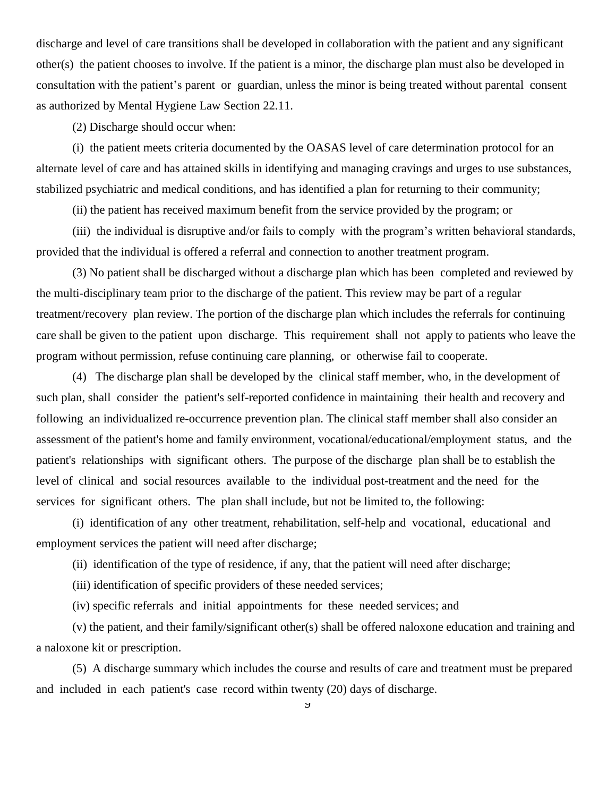discharge and level of care transitions shall be developed in collaboration with the patient and any significant other(s) the patient chooses to involve. If the patient is a minor, the discharge plan must also be developed in consultation with the patient's parent or guardian, unless the minor is being treated without parental consent as authorized by Mental Hygiene Law Section 22.11.

(2) Discharge should occur when:

 (i) the patient meets criteria documented by the OASAS level of care determination protocol for an alternate level of care and has attained skills in identifying and managing cravings and urges to use substances, stabilized psychiatric and medical conditions, and has identified a plan for returning to their community;

(ii) the patient has received maximum benefit from the service provided by the program; or

 (iii) the individual is disruptive and/or fails to comply with the program's written behavioral standards, provided that the individual is offered a referral and connection to another treatment program.

(3) No patient shall be discharged without a discharge plan which has been completed and reviewed by the multi-disciplinary team prior to the discharge of the patient. This review may be part of a regular treatment/recovery plan review. The portion of the discharge plan which includes the referrals for continuing care shall be given to the patient upon discharge. This requirement shall not apply to patients who leave the program without permission, refuse continuing care planning, or otherwise fail to cooperate.

(4) The discharge plan shall be developed by the clinical staff member, who, in the development of such plan, shall consider the patient's self-reported confidence in maintaining their health and recovery and following an individualized re-occurrence prevention plan. The clinical staff member shall also consider an assessment of the patient's home and family environment, vocational/educational/employment status, and the patient's relationships with significant others. The purpose of the discharge plan shall be to establish the level of clinical and social resources available to the individual post-treatment and the need for the services for significant others. The plan shall include, but not be limited to, the following:

 (i) identification of any other treatment, rehabilitation, self-help and vocational, educational and employment services the patient will need after discharge;

(ii) identification of the type of residence, if any, that the patient will need after discharge;

(iii) identification of specific providers of these needed services;

(iv) specific referrals and initial appointments for these needed services; and

(v) the patient, and their family/significant other(s) shall be offered naloxone education and training and a naloxone kit or prescription.

(5) A discharge summary which includes the course and results of care and treatment must be prepared and included in each patient's case record within twenty (20) days of discharge.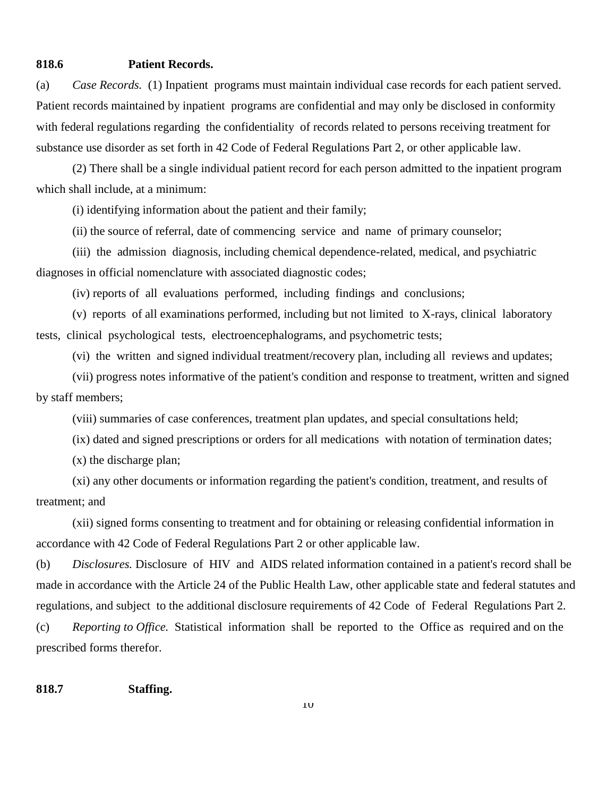#### **818.6 Patient Records.**

(a) *Case Records.* (1) Inpatient programs must maintain individual case records for each patient served. Patient records maintained by inpatient programs are confidential and may only be disclosed in conformity with federal regulations regarding the confidentiality of records related to persons receiving treatment for substance use disorder as set forth in 42 Code of Federal Regulations Part 2, or other applicable law.

(2) There shall be a single individual patient record for each person admitted to the inpatient program which shall include, at a minimum:

(i) identifying information about the patient and their family;

(ii) the source of referral, date of commencing service and name of primary counselor;

 (iii) the admission diagnosis, including chemical dependence-related, medical, and psychiatric diagnoses in official nomenclature with associated diagnostic codes;

(iv) reports of all evaluations performed, including findings and conclusions;

 (v) reports of all examinations performed, including but not limited to X-rays, clinical laboratory tests, clinical psychological tests, electroencephalograms, and psychometric tests;

(vi) the written and signed individual treatment/recovery plan, including all reviews and updates;

 (vii) progress notes informative of the patient's condition and response to treatment, written and signed by staff members;

(viii) summaries of case conferences, treatment plan updates, and special consultations held;

(ix) dated and signed prescriptions or orders for all medications with notation of termination dates;

(x) the discharge plan;

 (xi) any other documents or information regarding the patient's condition, treatment, and results of treatment; and

 (xii) signed forms consenting to treatment and for obtaining or releasing confidential information in accordance with 42 Code of Federal Regulations Part 2 or other applicable law.

(b) *Disclosures.* Disclosure of HIV and AIDS related information contained in a patient's record shall be made in accordance with the Article 24 of the Public Health Law, other applicable state and federal statutes and regulations, and subject to the additional disclosure requirements of 42 Code of Federal Regulations Part 2.

(c) *Reporting to Office.* Statistical information shall be reported to the Office as required and on the prescribed forms therefor.

**818.7 Staffing.**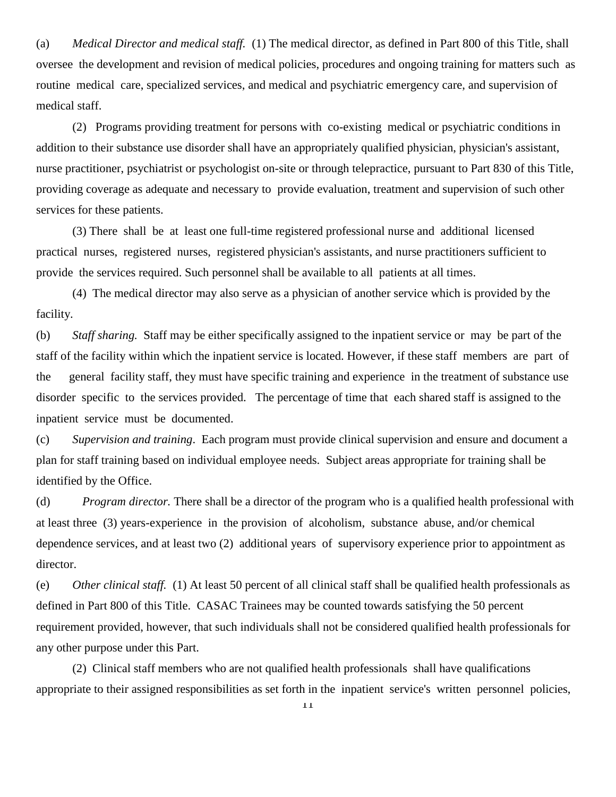(a) *Medical Director and medical staff.* (1) The medical director, as defined in Part 800 of this Title, shall oversee the development and revision of medical policies, procedures and ongoing training for matters such as routine medical care, specialized services, and medical and psychiatric emergency care, and supervision of medical staff.

 (2) Programs providing treatment for persons with co-existing medical or psychiatric conditions in addition to their substance use disorder shall have an appropriately qualified physician, physician's assistant, nurse practitioner, psychiatrist or psychologist on-site or through telepractice, pursuant to Part 830 of this Title, providing coverage as adequate and necessary to provide evaluation, treatment and supervision of such other services for these patients.

 (3) There shall be at least one full-time registered professional nurse and additional licensed practical nurses, registered nurses, registered physician's assistants, and nurse practitioners sufficient to provide the services required. Such personnel shall be available to all patients at all times.

 (4) The medical director may also serve as a physician of another service which is provided by the facility.

(b) *Staff sharing.* Staff may be either specifically assigned to the inpatient service or may be part of the staff of the facility within which the inpatient service is located. However, if these staff members are part of the general facility staff, they must have specific training and experience in the treatment of substance use disorder specific to the services provided. The percentage of time that each shared staff is assigned to the inpatient service must be documented.

(c) *Supervision and training*. Each program must provide clinical supervision and ensure and document a plan for staff training based on individual employee needs. Subject areas appropriate for training shall be identified by the Office.

(d) *Program director.* There shall be a director of the program who is a qualified health professional with at least three (3) years-experience in the provision of alcoholism, substance abuse, and/or chemical dependence services, and at least two (2) additional years of supervisory experience prior to appointment as director.

(e) *Other clinical staff.* (1) At least 50 percent of all clinical staff shall be qualified health professionals as defined in Part 800 of this Title. CASAC Trainees may be counted towards satisfying the 50 percent requirement provided, however, that such individuals shall not be considered qualified health professionals for any other purpose under this Part.

 (2) Clinical staff members who are not qualified health professionals shall have qualifications appropriate to their assigned responsibilities as set forth in the inpatient service's written personnel policies,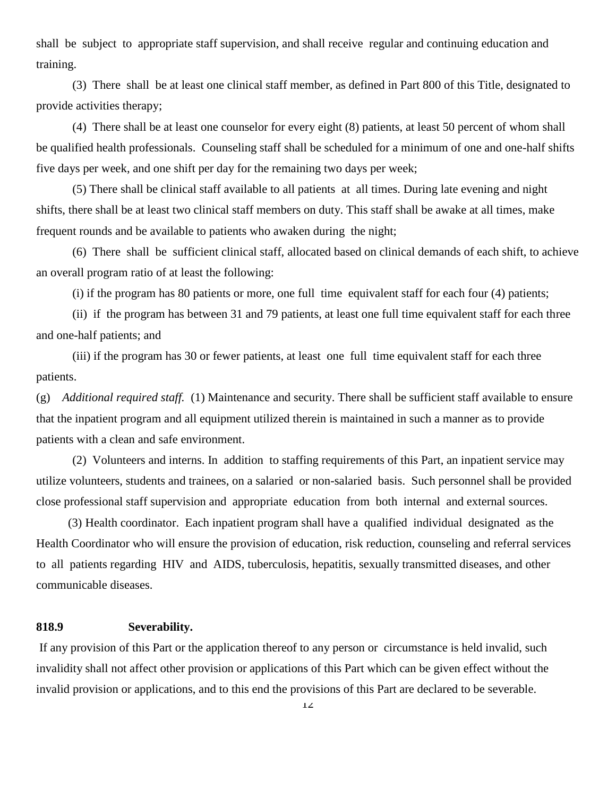shall be subject to appropriate staff supervision, and shall receive regular and continuing education and training.

 (3) There shall be at least one clinical staff member, as defined in Part 800 of this Title, designated to provide activities therapy;

(4) There shall be at least one counselor for every eight (8) patients, at least 50 percent of whom shall be qualified health professionals. Counseling staff shall be scheduled for a minimum of one and one-half shifts five days per week, and one shift per day for the remaining two days per week;

(5) There shall be clinical staff available to all patients at all times. During late evening and night shifts, there shall be at least two clinical staff members on duty. This staff shall be awake at all times, make frequent rounds and be available to patients who awaken during the night;

(6) There shall be sufficient clinical staff, allocated based on clinical demands of each shift, to achieve an overall program ratio of at least the following:

(i) if the program has 80 patients or more, one full time equivalent staff for each four (4) patients;

 (ii) if the program has between 31 and 79 patients, at least one full time equivalent staff for each three and one-half patients; and

 (iii) if the program has 30 or fewer patients, at least one full time equivalent staff for each three patients.

(g) *Additional required staff.* (1) Maintenance and security. There shall be sufficient staff available to ensure that the inpatient program and all equipment utilized therein is maintained in such a manner as to provide patients with a clean and safe environment.

(2) Volunteers and interns. In addition to staffing requirements of this Part, an inpatient service may utilize volunteers, students and trainees, on a salaried or non-salaried basis. Such personnel shall be provided close professional staff supervision and appropriate education from both internal and external sources.

(3) Health coordinator. Each inpatient program shall have a qualified individual designated as the Health Coordinator who will ensure the provision of education, risk reduction, counseling and referral services to all patients regarding HIV and AIDS, tuberculosis, hepatitis, sexually transmitted diseases, and other communicable diseases.

### **818.9 Severability.**

If any provision of this Part or the application thereof to any person or circumstance is held invalid, such invalidity shall not affect other provision or applications of this Part which can be given effect without the invalid provision or applications, and to this end the provisions of this Part are declared to be severable.